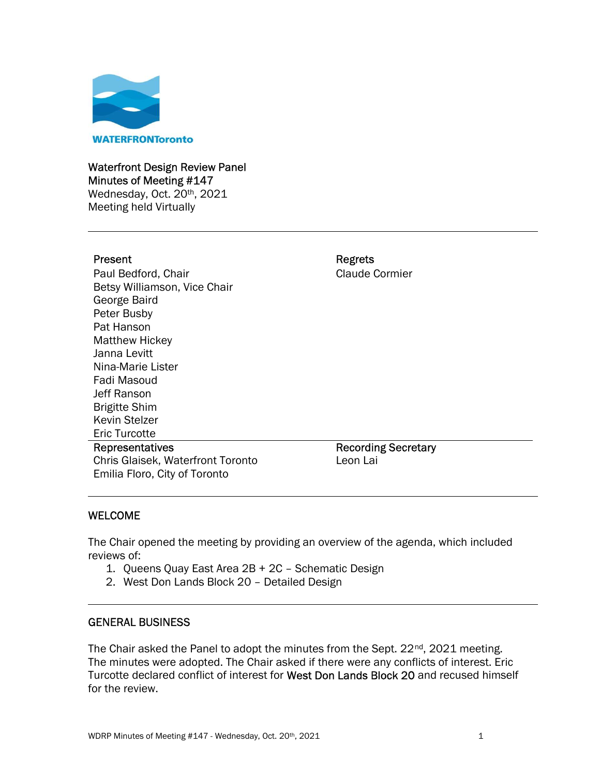

### Waterfront Design Review Panel Minutes of Meeting #147

Wednesday, Oct. 20<sup>th</sup>, 2021 Meeting held Virtually

## Present **Regrets**

 Betsy Williamson, Vice Chair Janna Levitt Paul Bedford, Chair Claude Cormier George Baird Peter Busby Pat Hanson Matthew Hickey Nina-Marie Lister Fadi Masoud Jeff Ranson Brigitte Shim Kevin Stelzer Eric Turcotte

 Emilia Floro, City of Toronto Representatives Chris Glaisek, Waterfront Toronto Recording Secretary Leon Lai

# WELCOME

The Chair opened the meeting by providing an overview of the agenda, which included reviews of:

- 1. Queens Quay East Area 2B + 2C Schematic Design
- 2. West Don Lands Block 20 Detailed Design

## GENERAL BUSINESS

Turcotte declared conflict of interest for West Don Lands Block 20 and recused himself The Chair asked the Panel to adopt the minutes from the Sept. 22<sup>nd</sup>, 2021 meeting. The minutes were adopted. The Chair asked if there were any conflicts of interest. Eric for the review.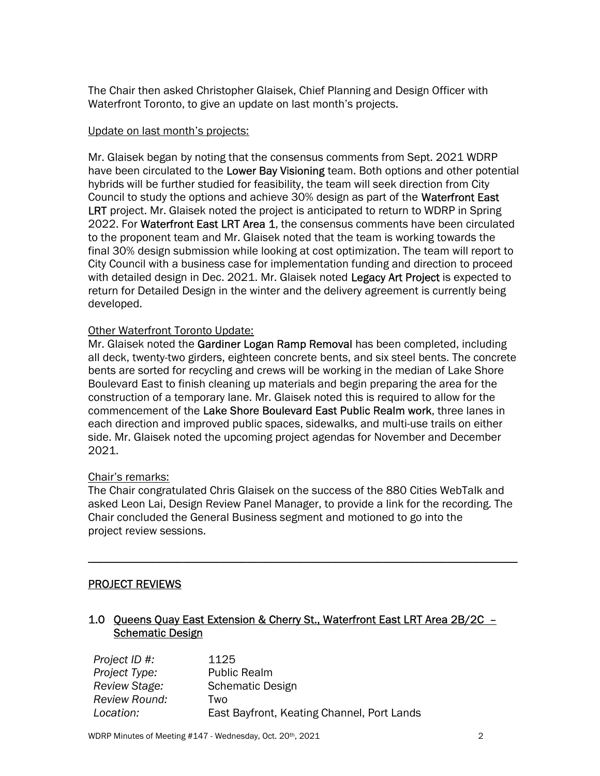The Chair then asked Christopher Glaisek, Chief Planning and Design Officer with Waterfront Toronto, to give an update on last month's projects.

## Update on last month's projects:

 Mr. Glaisek began by noting that the consensus comments from Sept. 2021 WDRP have been circulated to the Lower Bay Visioning team. Both options and other potential hybrids will be further studied for feasibility, the team will seek direction from City Council to study the options and achieve 30% design as part of the Waterfront East LRT project. Mr. Glaisek noted the project is anticipated to return to WDRP in Spring 2022. For Waterfront East LRT Area 1, the consensus comments have been circulated to the proponent team and Mr. Glaisek noted that the team is working towards the final 30% design submission while looking at cost optimization. The team will report to City Council with a business case for implementation funding and direction to proceed with detailed design in Dec. 2021. Mr. Glaisek noted Legacy Art Project is expected to return for Detailed Design in the winter and the delivery agreement is currently being developed.

## **Other Waterfront Toronto Update:**

Mr. Glaisek noted the Gardiner Logan Ramp Removal has been completed, including all deck, twenty-two girders, eighteen concrete bents, and six steel bents. The concrete bents are sorted for recycling and crews will be working in the median of Lake Shore Boulevard East to finish cleaning up materials and begin preparing the area for the construction of a temporary lane. Mr. Glaisek noted this is required to allow for the commencement of the Lake Shore Boulevard East Public Realm work, three lanes in each direction and improved public spaces, sidewalks, and multi-use trails on either side. Mr. Glaisek noted the upcoming project agendas for November and December 2021.

### Chair's remarks:

 The Chair congratulated Chris Glaisek on the success of the 880 Cities WebTalk and asked Leon Lai, Design Review Panel Manager, to provide a link for the recording. The Chair concluded the General Business segment and motioned to go into the project review sessions.

\_\_\_\_\_\_\_\_\_\_\_\_\_\_\_\_\_\_\_\_\_\_\_\_\_\_\_\_\_\_\_\_\_\_\_\_\_\_\_\_\_\_\_\_\_\_\_\_\_\_\_\_\_\_\_\_\_\_\_\_\_\_\_\_\_\_\_\_\_\_\_\_\_

## PROJECT REVIEWS

## 1.0 Queens Quay East Extension & Cherry St., Waterfront East LRT Area 2B/2C -**Schematic Design**

| Project ID #: | 1125                                       |
|---------------|--------------------------------------------|
| Project Type: | <b>Public Realm</b>                        |
| Review Stage: | Schematic Design                           |
| Review Round: | Two                                        |
| Location:     | East Bayfront, Keating Channel, Port Lands |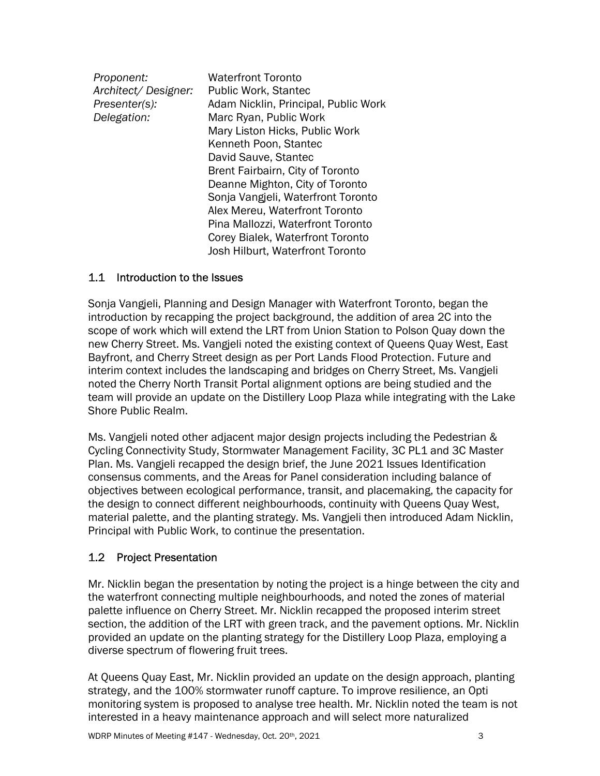| <b>Waterfront Toronto</b>            |
|--------------------------------------|
| Public Work, Stantec                 |
| Adam Nicklin, Principal, Public Work |
| Marc Ryan, Public Work               |
| Mary Liston Hicks, Public Work       |
| Kenneth Poon, Stantec                |
| David Sauve, Stantec                 |
| Brent Fairbairn, City of Toronto     |
| Deanne Mighton, City of Toronto      |
| Sonja Vangjeli, Waterfront Toronto   |
| Alex Mereu, Waterfront Toronto       |
| Pina Mallozzi, Waterfront Toronto    |
| Corey Bialek, Waterfront Toronto     |
| Josh Hilburt, Waterfront Toronto     |
|                                      |

## 1.1 Introduction to the Issues

 Sonja Vangjeli, Planning and Design Manager with Waterfront Toronto, began the introduction by recapping the project background, the addition of area 2C into the scope of work which will extend the LRT from Union Station to Polson Quay down the new Cherry Street. Ms. Vangjeli noted the existing context of Queens Quay West, East Bayfront, and Cherry Street design as per Port Lands Flood Protection. Future and interim context includes the landscaping and bridges on Cherry Street, Ms. Vangjeli noted the Cherry North Transit Portal alignment options are being studied and the team will provide an update on the Distillery Loop Plaza while integrating with the Lake Shore Public Realm.

 Ms. Vangjeli noted other adjacent major design projects including the Pedestrian & Cycling Connectivity Study, Stormwater Management Facility, 3C PL1 and 3C Master Plan. Ms. Vangjeli recapped the design brief, the June 2021 Issues Identification consensus comments, and the Areas for Panel consideration including balance of objectives between ecological performance, transit, and placemaking, the capacity for the design to connect different neighbourhoods, continuity with Queens Quay West, material palette, and the planting strategy. Ms. Vangjeli then introduced Adam Nicklin, Principal with Public Work, to continue the presentation.

# 1.2 Project Presentation

 Mr. Nicklin began the presentation by noting the project is a hinge between the city and the waterfront connecting multiple neighbourhoods, and noted the zones of material palette influence on Cherry Street. Mr. Nicklin recapped the proposed interim street section, the addition of the LRT with green track, and the pavement options. Mr. Nicklin provided an update on the planting strategy for the Distillery Loop Plaza, employing a diverse spectrum of flowering fruit trees.

 At Queens Quay East, Mr. Nicklin provided an update on the design approach, planting strategy, and the 100% stormwater runoff capture. To improve resilience, an Opti monitoring system is proposed to analyse tree health. Mr. Nicklin noted the team is not interested in a heavy maintenance approach and will select more naturalized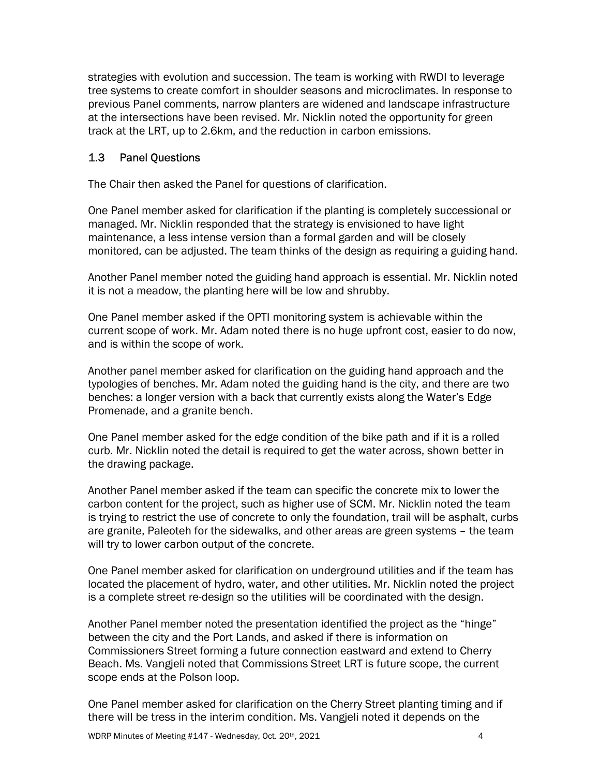strategies with evolution and succession. The team is working with RWDI to leverage tree systems to create comfort in shoulder seasons and microclimates. In response to previous Panel comments, narrow planters are widened and landscape infrastructure at the intersections have been revised. Mr. Nicklin noted the opportunity for green track at the LRT, up to 2.6km, and the reduction in carbon emissions.

#### $1.3$ **Panel Ouestions**

The Chair then asked the Panel for questions of clarification.

 One Panel member asked for clarification if the planting is completely successional or managed. Mr. Nicklin responded that the strategy is envisioned to have light maintenance, a less intense version than a formal garden and will be closely monitored, can be adjusted. The team thinks of the design as requiring a guiding hand.

 Another Panel member noted the guiding hand approach is essential. Mr. Nicklin noted it is not a meadow, the planting here will be low and shrubby.

 One Panel member asked if the OPTI monitoring system is achievable within the current scope of work. Mr. Adam noted there is no huge upfront cost, easier to do now, and is within the scope of work.

 Another panel member asked for clarification on the guiding hand approach and the typologies of benches. Mr. Adam noted the guiding hand is the city, and there are two benches: a longer version with a back that currently exists along the Water's Edge Promenade, and a granite bench.

 One Panel member asked for the edge condition of the bike path and if it is a rolled curb. Mr. Nicklin noted the detail is required to get the water across, shown better in the drawing package.

 Another Panel member asked if the team can specific the concrete mix to lower the carbon content for the project, such as higher use of SCM. Mr. Nicklin noted the team is trying to restrict the use of concrete to only the foundation, trail will be asphalt, curbs are granite, Paleoteh for the sidewalks, and other areas are green systems – the team will try to lower carbon output of the concrete.

 One Panel member asked for clarification on underground utilities and if the team has located the placement of hydro, water, and other utilities. Mr. Nicklin noted the project is a complete street re-design so the utilities will be coordinated with the design.

 Another Panel member noted the presentation identified the project as the "hinge" between the city and the Port Lands, and asked if there is information on Commissioners Street forming a future connection eastward and extend to Cherry Beach. Ms. Vangjeli noted that Commissions Street LRT is future scope, the current scope ends at the Polson loop.

 One Panel member asked for clarification on the Cherry Street planting timing and if there will be tress in the interim condition. Ms. Vangjeli noted it depends on the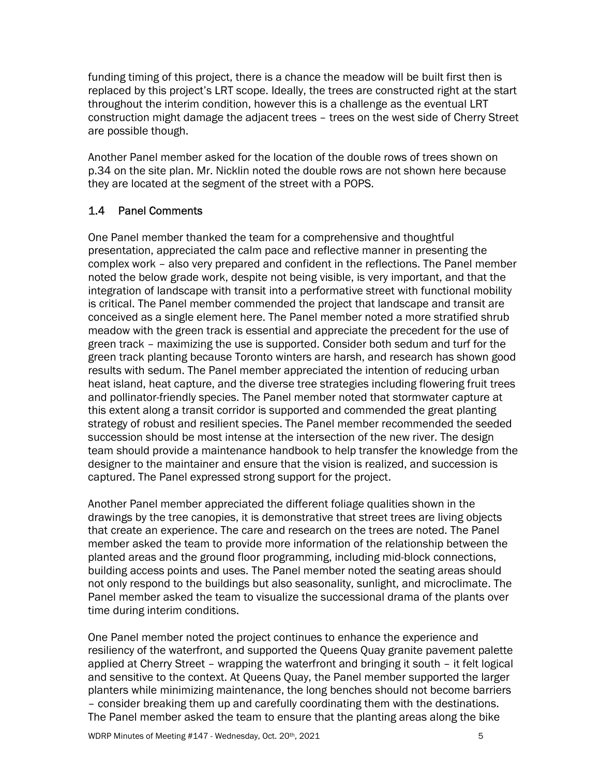funding timing of this project, there is a chance the meadow will be built first then is replaced by this project's LRT scope. Ideally, the trees are constructed right at the start throughout the interim condition, however this is a challenge as the eventual LRT construction might damage the adjacent trees – trees on the west side of Cherry Street are possible though.

 Another Panel member asked for the location of the double rows of trees shown on p.34 on the site plan. Mr. Nicklin noted the double rows are not shown here because they are located at the segment of the street with a POPS.

# 1.4 Panel Comments

 One Panel member thanked the team for a comprehensive and thoughtful presentation, appreciated the calm pace and reflective manner in presenting the complex work – also very prepared and confident in the reflections. The Panel member noted the below grade work, despite not being visible, is very important, and that the integration of landscape with transit into a performative street with functional mobility is critical. The Panel member commended the project that landscape and transit are conceived as a single element here. The Panel member noted a more stratified shrub meadow with the green track is essential and appreciate the precedent for the use of green track – maximizing the use is supported. Consider both sedum and turf for the green track planting because Toronto winters are harsh, and research has shown good results with sedum. The Panel member appreciated the intention of reducing urban heat island, heat capture, and the diverse tree strategies including flowering fruit trees and pollinator-friendly species. The Panel member noted that stormwater capture at this extent along a transit corridor is supported and commended the great planting strategy of robust and resilient species. The Panel member recommended the seeded succession should be most intense at the intersection of the new river. The design team should provide a maintenance handbook to help transfer the knowledge from the designer to the maintainer and ensure that the vision is realized, and succession is captured. The Panel expressed strong support for the project.

 Another Panel member appreciated the different foliage qualities shown in the drawings by the tree canopies, it is demonstrative that street trees are living objects that create an experience. The care and research on the trees are noted. The Panel member asked the team to provide more information of the relationship between the planted areas and the ground floor programming, including mid-block connections, building access points and uses. The Panel member noted the seating areas should not only respond to the buildings but also seasonality, sunlight, and microclimate. The Panel member asked the team to visualize the successional drama of the plants over time during interim conditions.

 One Panel member noted the project continues to enhance the experience and resiliency of the waterfront, and supported the Queens Quay granite pavement palette applied at Cherry Street – wrapping the waterfront and bringing it south – it felt logical and sensitive to the context. At Queens Quay, the Panel member supported the larger planters while minimizing maintenance, the long benches should not become barriers – consider breaking them up and carefully coordinating them with the destinations. The Panel member asked the team to ensure that the planting areas along the bike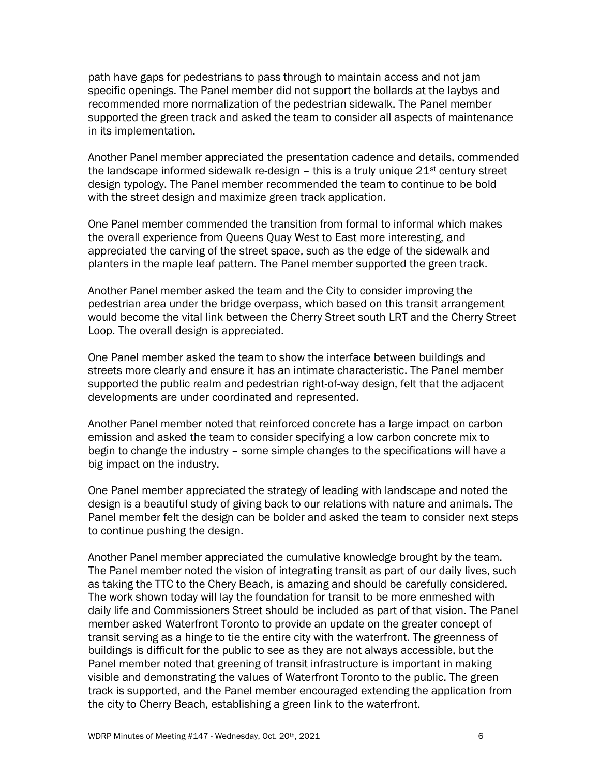path have gaps for pedestrians to pass through to maintain access and not jam specific openings. The Panel member did not support the bollards at the laybys and recommended more normalization of the pedestrian sidewalk. The Panel member supported the green track and asked the team to consider all aspects of maintenance in its implementation.

 Another Panel member appreciated the presentation cadence and details, commended the landscape informed sidewalk re-design - this is a truly unique  $21<sup>st</sup>$  century street design typology. The Panel member recommended the team to continue to be bold with the street design and maximize green track application.

 One Panel member commended the transition from formal to informal which makes the overall experience from Queens Quay West to East more interesting, and appreciated the carving of the street space, such as the edge of the sidewalk and planters in the maple leaf pattern. The Panel member supported the green track.

 Another Panel member asked the team and the City to consider improving the pedestrian area under the bridge overpass, which based on this transit arrangement would become the vital link between the Cherry Street south LRT and the Cherry Street Loop. The overall design is appreciated.

 One Panel member asked the team to show the interface between buildings and streets more clearly and ensure it has an intimate characteristic. The Panel member supported the public realm and pedestrian right-of-way design, felt that the adjacent developments are under coordinated and represented.

 Another Panel member noted that reinforced concrete has a large impact on carbon emission and asked the team to consider specifying a low carbon concrete mix to begin to change the industry – some simple changes to the specifications will have a big impact on the industry.

 One Panel member appreciated the strategy of leading with landscape and noted the design is a beautiful study of giving back to our relations with nature and animals. The Panel member felt the design can be bolder and asked the team to consider next steps to continue pushing the design.

 Another Panel member appreciated the cumulative knowledge brought by the team. The Panel member noted the vision of integrating transit as part of our daily lives, such as taking the TTC to the Chery Beach, is amazing and should be carefully considered. The work shown today will lay the foundation for transit to be more enmeshed with daily life and Commissioners Street should be included as part of that vision. The Panel member asked Waterfront Toronto to provide an update on the greater concept of transit serving as a hinge to tie the entire city with the waterfront. The greenness of buildings is difficult for the public to see as they are not always accessible, but the Panel member noted that greening of transit infrastructure is important in making visible and demonstrating the values of Waterfront Toronto to the public. The green track is supported, and the Panel member encouraged extending the application from the city to Cherry Beach, establishing a green link to the waterfront.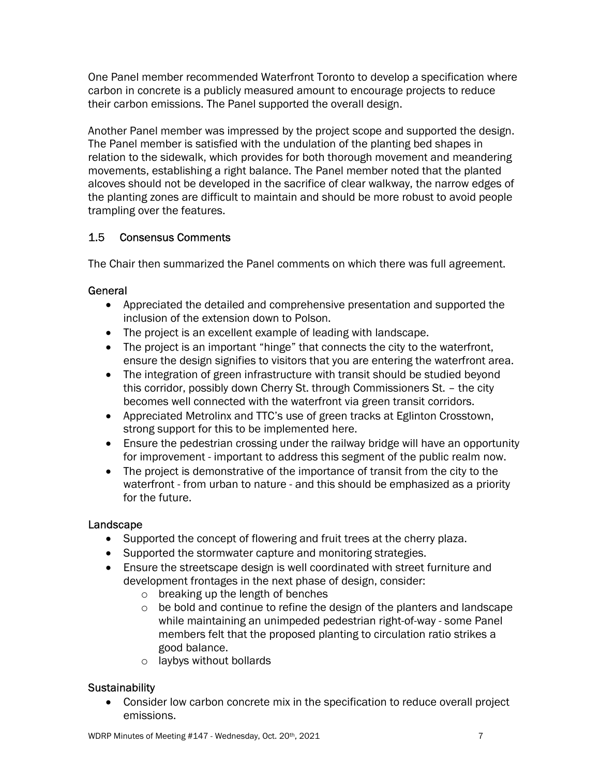One Panel member recommended Waterfront Toronto to develop a specification where carbon in concrete is a publicly measured amount to encourage projects to reduce their carbon emissions. The Panel supported the overall design.

 Another Panel member was impressed by the project scope and supported the design. The Panel member is satisfied with the undulation of the planting bed shapes in relation to the sidewalk, which provides for both thorough movement and meandering movements, establishing a right balance. The Panel member noted that the planted alcoves should not be developed in the sacrifice of clear walkway, the narrow edges of the planting zones are difficult to maintain and should be more robust to avoid people trampling over the features.

### $1.5$ 1.5 Consensus Comments

The Chair then summarized the Panel comments on which there was full agreement.

# **General**

- Appreciated the detailed and comprehensive presentation and supported the inclusion of the extension down to Polson.
- The project is an excellent example of leading with landscape.
- The project is an important "hinge" that connects the city to the waterfront, ensure the design signifies to visitors that you are entering the waterfront area.
- The integration of green infrastructure with transit should be studied beyond this corridor, possibly down Cherry St. through Commissioners St. – the city becomes well connected with the waterfront via green transit corridors.
- Appreciated Metrolinx and TTC's use of green tracks at Eglinton Crosstown, strong support for this to be implemented here.
- Ensure the pedestrian crossing under the railway bridge will have an opportunity for improvement - important to address this segment of the public realm now.
- The project is demonstrative of the importance of transit from the city to the waterfront - from urban to nature - and this should be emphasized as a priority for the future.

# Landscape

- Supported the concept of flowering and fruit trees at the cherry plaza.
- Supported the stormwater capture and monitoring strategies.
- Ensure the streetscape design is well coordinated with street furniture and development frontages in the next phase of design, consider:
	- o breaking up the length of benches
	- o be bold and continue to refine the design of the planters and landscape while maintaining an unimpeded pedestrian right-of-way - some Panel members felt that the proposed planting to circulation ratio strikes a good balance.
	- o laybys without bollards

# Sustainability

 Consider low carbon concrete mix in the specification to reduce overall project emissions.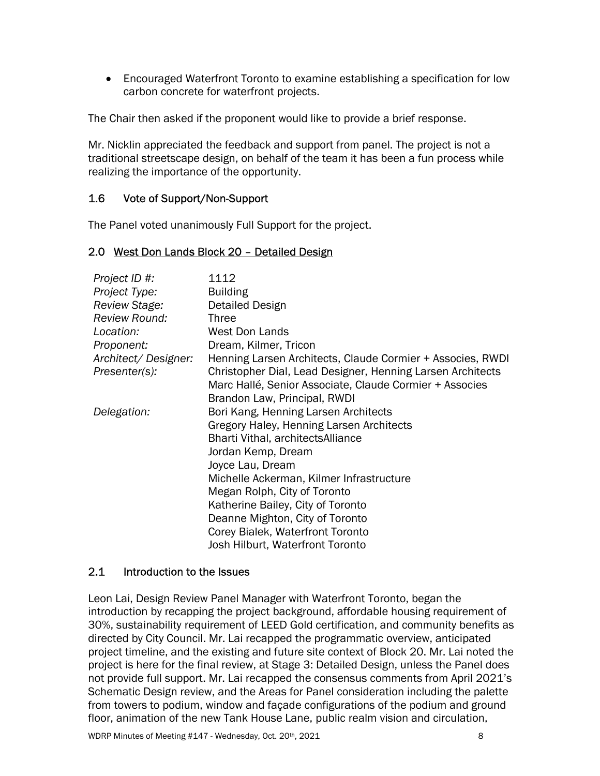Encouraged Waterfront Toronto to examine establishing a specification for low carbon concrete for waterfront projects.

The Chair then asked if the proponent would like to provide a brief response.

 Mr. Nicklin appreciated the feedback and support from panel. The project is not a traditional streetscape design, on behalf of the team it has been a fun process while realizing the importance of the opportunity.

#### $1.6$ Vote of Support/Non-Support

The Panel voted unanimously Full Support for the project.

## 2.0 West Don Lands Block 20 - Detailed Design

| Project ID #:<br>Project Type: | 1112<br><b>Building</b>                                    |
|--------------------------------|------------------------------------------------------------|
| Review Stage:                  | Detailed Design                                            |
| Review Round:                  | <b>Three</b>                                               |
| Location:                      | <b>West Don Lands</b>                                      |
| Proponent:                     | Dream, Kilmer, Tricon                                      |
| Architect/Designer:            | Henning Larsen Architects, Claude Cormier + Associes, RWDI |
| Presenter(s):                  | Christopher Dial, Lead Designer, Henning Larsen Architects |
|                                | Marc Hallé, Senior Associate, Claude Cormier + Associes    |
|                                | Brandon Law, Principal, RWDI                               |
| Delegation:                    | Bori Kang, Henning Larsen Architects                       |
|                                | Gregory Haley, Henning Larsen Architects                   |
|                                | Bharti Vithal, architects Alliance                         |
|                                | Jordan Kemp, Dream                                         |
|                                | Joyce Lau, Dream                                           |
|                                | Michelle Ackerman, Kilmer Infrastructure                   |
|                                | Megan Rolph, City of Toronto                               |
|                                | Katherine Bailey, City of Toronto                          |
|                                | Deanne Mighton, City of Toronto                            |
|                                | Corey Bialek, Waterfront Toronto                           |
|                                | Josh Hilburt, Waterfront Toronto                           |

# 2.1 Introduction to the Issues

 Leon Lai, Design Review Panel Manager with Waterfront Toronto, began the introduction by recapping the project background, affordable housing requirement of 30%, sustainability requirement of LEED Gold certification, and community benefits as directed by City Council. Mr. Lai recapped the programmatic overview, anticipated project timeline, and the existing and future site context of Block 20. Mr. Lai noted the not provide full support. Mr. Lai recapped the consensus comments from April 2021's Schematic Design review, and the Areas for Panel consideration including the palette from towers to podium, window and façade configurations of the podium and ground floor, animation of the new Tank House Lane, public realm vision and circulation, project is here for the final review, at Stage 3: Detailed Design, unless the Panel does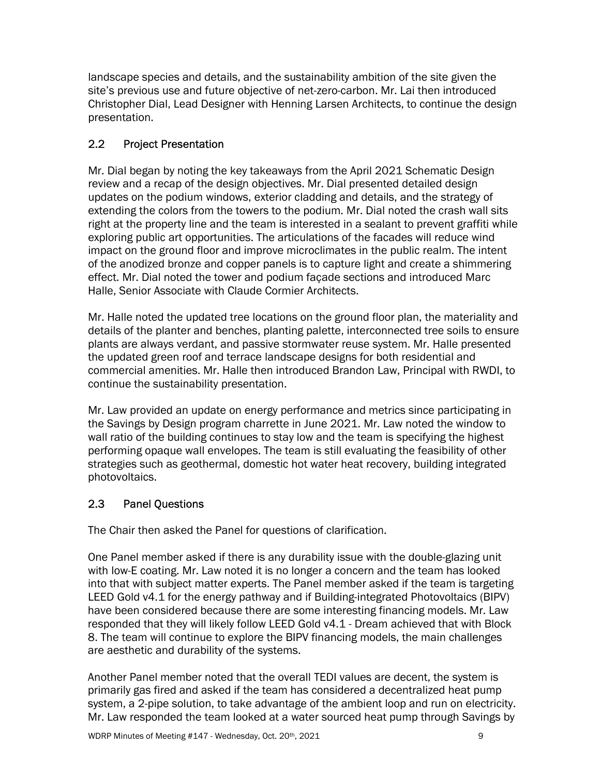landscape species and details, and the sustainability ambition of the site given the site's previous use and future objective of net-zero-carbon. Mr. Lai then introduced Christopher Dial, Lead Designer with Henning Larsen Architects, to continue the design presentation.

### $2.2<sub>2</sub>$ **Project Presentation**

 Mr. Dial began by noting the key takeaways from the April 2021 Schematic Design review and a recap of the design objectives. Mr. Dial presented detailed design updates on the podium windows, exterior cladding and details, and the strategy of extending the colors from the towers to the podium. Mr. Dial noted the crash wall sits right at the property line and the team is interested in a sealant to prevent graffiti while exploring public art opportunities. The articulations of the facades will reduce wind impact on the ground floor and improve microclimates in the public realm. The intent of the anodized bronze and copper panels is to capture light and create a shimmering effect. Mr. Dial noted the tower and podium façade sections and introduced Marc Halle, Senior Associate with Claude Cormier Architects.

 Mr. Halle noted the updated tree locations on the ground floor plan, the materiality and details of the planter and benches, planting palette, interconnected tree soils to ensure plants are always verdant, and passive stormwater reuse system. Mr. Halle presented the updated green roof and terrace landscape designs for both residential and commercial amenities. Mr. Halle then introduced Brandon Law, Principal with RWDI, to continue the sustainability presentation.

 Mr. Law provided an update on energy performance and metrics since participating in the Savings by Design program charrette in June 2021. Mr. Law noted the window to wall ratio of the building continues to stay low and the team is specifying the highest performing opaque wall envelopes. The team is still evaluating the feasibility of other strategies such as geothermal, domestic hot water heat recovery, building integrated photovoltaics.

### $2.3$ **Panel Questions**

The Chair then asked the Panel for questions of clarification.

 One Panel member asked if there is any durability issue with the double-glazing unit with low-E coating. Mr. Law noted it is no longer a concern and the team has looked into that with subject matter experts. The Panel member asked if the team is targeting LEED Gold v4.1 for the energy pathway and if Building-integrated Photovoltaics (BIPV) have been considered because there are some interesting financing models. Mr. Law responded that they will likely follow LEED Gold v4.1 - Dream achieved that with Block 8. The team will continue to explore the BIPV financing models, the main challenges are aesthetic and durability of the systems.

 Another Panel member noted that the overall TEDI values are decent, the system is primarily gas fired and asked if the team has considered a decentralized heat pump system, a 2-pipe solution, to take advantage of the ambient loop and run on electricity. Mr. Law responded the team looked at a water sourced heat pump through Savings by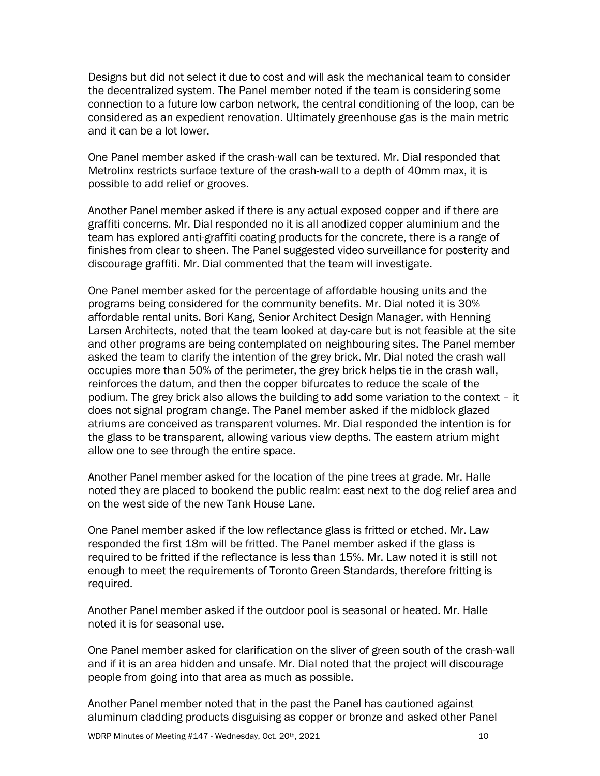Designs but did not select it due to cost and will ask the mechanical team to consider the decentralized system. The Panel member noted if the team is considering some connection to a future low carbon network, the central conditioning of the loop, can be considered as an expedient renovation. Ultimately greenhouse gas is the main metric and it can be a lot lower.

 One Panel member asked if the crash-wall can be textured. Mr. Dial responded that Metrolinx restricts surface texture of the crash-wall to a depth of 40mm max, it is possible to add relief or grooves.

 Another Panel member asked if there is any actual exposed copper and if there are graffiti concerns. Mr. Dial responded no it is all anodized copper aluminium and the team has explored anti-graffiti coating products for the concrete, there is a range of finishes from clear to sheen. The Panel suggested video surveillance for posterity and discourage graffiti. Mr. Dial commented that the team will investigate.

 One Panel member asked for the percentage of affordable housing units and the programs being considered for the community benefits. Mr. Dial noted it is 30% affordable rental units. Bori Kang, Senior Architect Design Manager, with Henning Larsen Architects, noted that the team looked at day-care but is not feasible at the site and other programs are being contemplated on neighbouring sites. The Panel member asked the team to clarify the intention of the grey brick. Mr. Dial noted the crash wall occupies more than 50% of the perimeter, the grey brick helps tie in the crash wall, reinforces the datum, and then the copper bifurcates to reduce the scale of the podium. The grey brick also allows the building to add some variation to the context – it does not signal program change. The Panel member asked if the midblock glazed atriums are conceived as transparent volumes. Mr. Dial responded the intention is for the glass to be transparent, allowing various view depths. The eastern atrium might allow one to see through the entire space.

 Another Panel member asked for the location of the pine trees at grade. Mr. Halle noted they are placed to bookend the public realm: east next to the dog relief area and on the west side of the new Tank House Lane.

 One Panel member asked if the low reflectance glass is fritted or etched. Mr. Law responded the first 18m will be fritted. The Panel member asked if the glass is required to be fritted if the reflectance is less than 15%. Mr. Law noted it is still not enough to meet the requirements of Toronto Green Standards, therefore fritting is required.

 Another Panel member asked if the outdoor pool is seasonal or heated. Mr. Halle noted it is for seasonal use.

 One Panel member asked for clarification on the sliver of green south of the crash-wall and if it is an area hidden and unsafe. Mr. Dial noted that the project will discourage people from going into that area as much as possible.

 Another Panel member noted that in the past the Panel has cautioned against aluminum cladding products disguising as copper or bronze and asked other Panel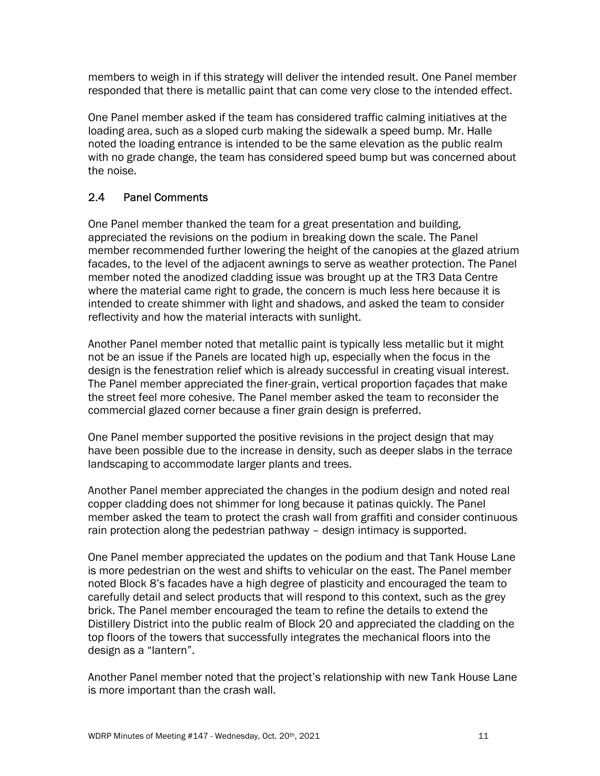members to weigh in if this strategy will deliver the intended result. One Panel member responded that there is metallic paint that can come very close to the intended effect.

 One Panel member asked if the team has considered traffic calming initiatives at the loading area, such as a sloped curb making the sidewalk a speed bump. Mr. Halle noted the loading entrance is intended to be the same elevation as the public realm with no grade change, the team has considered speed bump but was concerned about the noise.

### $2.4$ Panel Comments

 One Panel member thanked the team for a great presentation and building, appreciated the revisions on the podium in breaking down the scale. The Panel member recommended further lowering the height of the canopies at the glazed atrium facades, to the level of the adjacent awnings to serve as weather protection. The Panel member noted the anodized cladding issue was brought up at the TR3 Data Centre where the material came right to grade, the concern is much less here because it is intended to create shimmer with light and shadows, and asked the team to consider reflectivity and how the material interacts with sunlight.

 Another Panel member noted that metallic paint is typically less metallic but it might not be an issue if the Panels are located high up, especially when the focus in the design is the fenestration relief which is already successful in creating visual interest. The Panel member appreciated the finer-grain, vertical proportion façades that make the street feel more cohesive. The Panel member asked the team to reconsider the commercial glazed corner because a finer grain design is preferred.

 One Panel member supported the positive revisions in the project design that may have been possible due to the increase in density, such as deeper slabs in the terrace landscaping to accommodate larger plants and trees.

 Another Panel member appreciated the changes in the podium design and noted real copper cladding does not shimmer for long because it patinas quickly. The Panel member asked the team to protect the crash wall from graffiti and consider continuous rain protection along the pedestrian pathway – design intimacy is supported.

 One Panel member appreciated the updates on the podium and that Tank House Lane is more pedestrian on the west and shifts to vehicular on the east. The Panel member noted Block 8's facades have a high degree of plasticity and encouraged the team to carefully detail and select products that will respond to this context, such as the grey brick. The Panel member encouraged the team to refine the details to extend the Distillery District into the public realm of Block 20 and appreciated the cladding on the top floors of the towers that successfully integrates the mechanical floors into the design as a "lantern".

 Another Panel member noted that the project's relationship with new Tank House Lane is more important than the crash wall.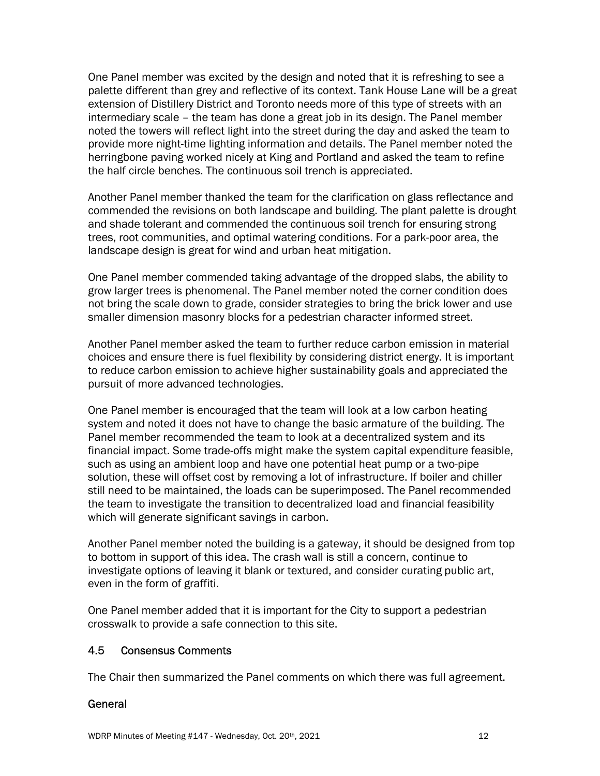One Panel member was excited by the design and noted that it is refreshing to see a palette different than grey and reflective of its context. Tank House Lane will be a great extension of Distillery District and Toronto needs more of this type of streets with an intermediary scale – the team has done a great job in its design. The Panel member noted the towers will reflect light into the street during the day and asked the team to provide more night-time lighting information and details. The Panel member noted the herringbone paving worked nicely at King and Portland and asked the team to refine the half circle benches. The continuous soil trench is appreciated.

 Another Panel member thanked the team for the clarification on glass reflectance and commended the revisions on both landscape and building. The plant palette is drought and shade tolerant and commended the continuous soil trench for ensuring strong trees, root communities, and optimal watering conditions. For a park-poor area, the landscape design is great for wind and urban heat mitigation.

 One Panel member commended taking advantage of the dropped slabs, the ability to grow larger trees is phenomenal. The Panel member noted the corner condition does not bring the scale down to grade, consider strategies to bring the brick lower and use smaller dimension masonry blocks for a pedestrian character informed street.

 Another Panel member asked the team to further reduce carbon emission in material choices and ensure there is fuel flexibility by considering district energy. It is important to reduce carbon emission to achieve higher sustainability goals and appreciated the pursuit of more advanced technologies.

 One Panel member is encouraged that the team will look at a low carbon heating system and noted it does not have to change the basic armature of the building. The Panel member recommended the team to look at a decentralized system and its financial impact. Some trade-offs might make the system capital expenditure feasible, such as using an ambient loop and have one potential heat pump or a two-pipe solution, these will offset cost by removing a lot of infrastructure. If boiler and chiller still need to be maintained, the loads can be superimposed. The Panel recommended the team to investigate the transition to decentralized load and financial feasibility which will generate significant savings in carbon.

 Another Panel member noted the building is a gateway, it should be designed from top to bottom in support of this idea. The crash wall is still a concern, continue to investigate options of leaving it blank or textured, and consider curating public art, even in the form of graffiti.

 One Panel member added that it is important for the City to support a pedestrian crosswalk to provide a safe connection to this site.

#### 4.5 4.5 Consensus Comments

The Chair then summarized the Panel comments on which there was full agreement.

# General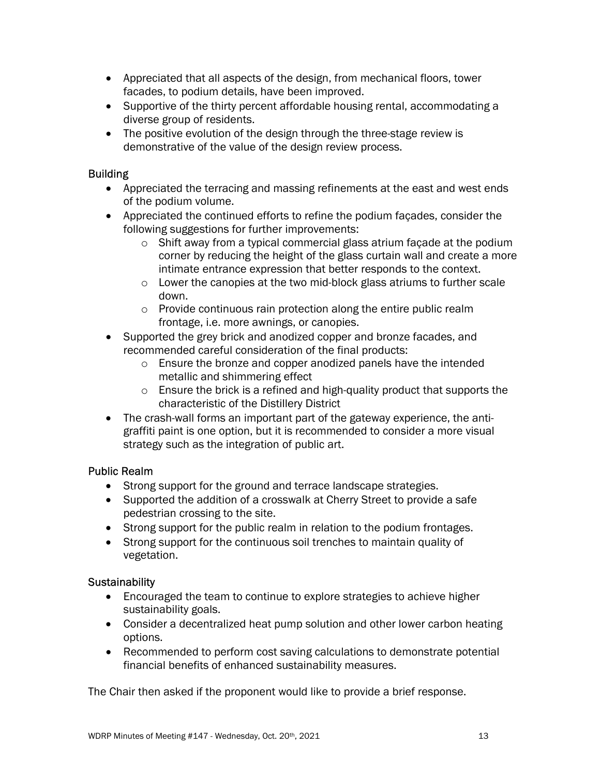- Appreciated that all aspects of the design, from mechanical floors, tower facades, to podium details, have been improved.
- Supportive of the thirty percent affordable housing rental, accommodating a diverse group of residents.
- The positive evolution of the design through the three-stage review is demonstrative of the value of the design review process.

# **Building**

- Appreciated the terracing and massing refinements at the east and west ends of the podium volume.
- Appreciated the continued efforts to refine the podium façades, consider the following suggestions for further improvements:
	- o Shift away from a typical commercial glass atrium façade at the podium corner by reducing the height of the glass curtain wall and create a more intimate entrance expression that better responds to the context.
	- o Lower the canopies at the two mid-block glass atriums to further scale down.
	- o Provide continuous rain protection along the entire public realm frontage, i.e. more awnings, or canopies.
- Supported the grey brick and anodized copper and bronze facades, and recommended careful consideration of the final products:
	- o Ensure the bronze and copper anodized panels have the intended metallic and shimmering effect
	- o Ensure the brick is a refined and high-quality product that supports the characteristic of the Distillery District
- The crash-wall forms an important part of the gateway experience, the anti- graffiti paint is one option, but it is recommended to consider a more visual strategy such as the integration of public art.

# Public Realm

- Strong support for the ground and terrace landscape strategies.
- Supported the addition of a crosswalk at Cherry Street to provide a safe pedestrian crossing to the site.
- Strong support for the public realm in relation to the podium frontages.
- Strong support for the continuous soil trenches to maintain quality of vegetation.

# **Sustainability**

- Encouraged the team to continue to explore strategies to achieve higher sustainability goals.
- Consider a decentralized heat pump solution and other lower carbon heating options.
- Recommended to perform cost saving calculations to demonstrate potential financial benefits of enhanced sustainability measures.

The Chair then asked if the proponent would like to provide a brief response.